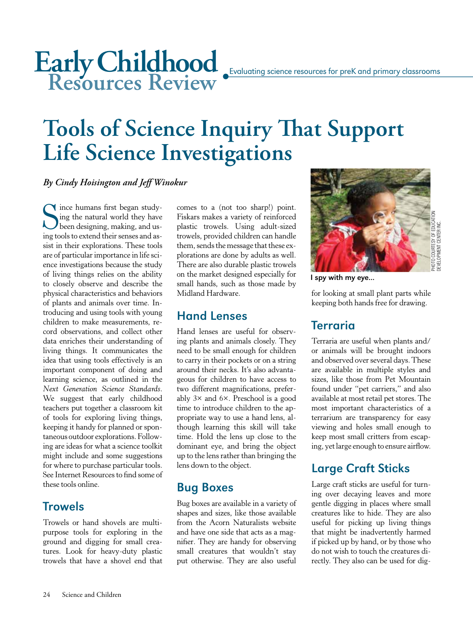# **Childhood Resources Review** Early Childhood **Evaluating science resources for preK** and primary classrooms

# **Tools of Science Inquiry That Support Life Science Investigations**

#### *By Cindy Hoisington and Jeff Winokur*

S<sub>ing to</sub> ince humans first began studying the natural world they have been designing, making, and using tools to extend their senses and assist in their explorations. These tools are of particular importance in life science investigations because the study of living things relies on the ability to closely observe and describe the physical characteristics and behaviors of plants and animals over time. Introducing and using tools with young children to make measurements, record observations, and collect other data enriches their understanding of living things. It communicates the idea that using tools effectively is an important component of doing and learning science, as outlined in the *Next Generation Science Standards*. We suggest that early childhood teachers put together a classroom kit of tools for exploring living things, keeping it handy for planned or spontaneous outdoor explorations. Following are ideas for what a science toolkit might include and some suggestions for where to purchase particular tools. See Internet Resources to find some of these tools online.

### **Trowels**

Trowels or hand shovels are multipurpose tools for exploring in the ground and digging for small creatures. Look for heavy-duty plastic trowels that have a shovel end that comes to a (not too sharp!) point. Fiskars makes a variety of reinforced plastic trowels. Using adult-sized trowels, provided children can handle them, sends the message that these explorations are done by adults as well. There are also durable plastic trowels on the market designed especially for small hands, such as those made by Midland Hardware.

### Hand Lenses

Hand lenses are useful for observing plants and animals closely. They need to be small enough for children to carry in their pockets or on a string around their necks. It's also advantageous for children to have access to two different magnifications, preferably 3× and 6×. Preschool is a good time to introduce children to the appropriate way to use a hand lens, although learning this skill will take time. Hold the lens up close to the dominant eye, and bring the object up to the lens rather than bringing the lens down to the object.

### Bug Boxes

Bug boxes are available in a variety of shapes and sizes, like those available from the Acorn Naturalists website and have one side that acts as a magnifier. They are handy for observing small creatures that wouldn't stay put otherwise. They are also useful



I spy with my eye...

for looking at small plant parts while keeping both hands free for drawing.

# Terraria

Terraria are useful when plants and/ or animals will be brought indoors and observed over several days. These are available in multiple styles and sizes, like those from Pet Mountain found under "pet carriers," and also available at most retail pet stores. The most important characteristics of a terrarium are transparency for easy viewing and holes small enough to keep most small critters from escaping, yet large enough to ensure airflow.

### Large Craft Sticks

Large craft sticks are useful for turning over decaying leaves and more gentle digging in places where small creatures like to hide. They are also useful for picking up living things that might be inadvertently harmed if picked up by hand, or by those who do not wish to touch the creatures directly. They also can be used for dig-